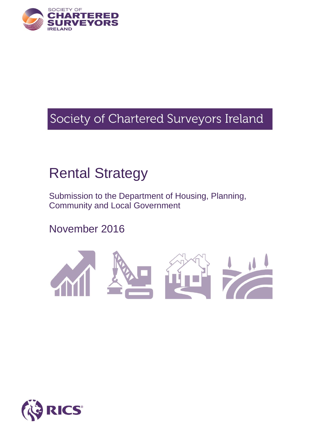

# Society of Chartered Surveyors Ireland

# Rental Strategy

Submission to the Department of Housing, Planning, Community and Local Government

November 2016



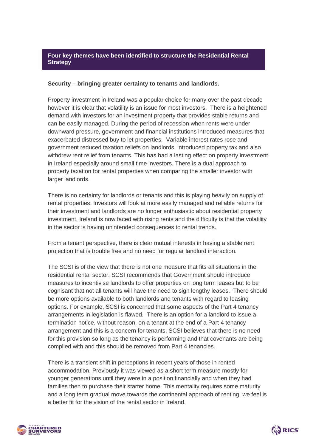#### **Four key themes have been identified to structure the Residential Rental Strategy**

#### **Security – bringing greater certainty to tenants and landlords.**

Property investment in Ireland was a popular choice for many over the past decade however it is clear that volatility is an issue for most investors. There is a heightened demand with investors for an investment property that provides stable returns and can be easily managed. During the period of recession when rents were under downward pressure, government and financial institutions introduced measures that exacerbated distressed buy to let properties. Variable interest rates rose and government reduced taxation reliefs on landlords, introduced property tax and also withdrew rent relief from tenants. This has had a lasting effect on property investment in Ireland especially around small time investors. There is a dual approach to property taxation for rental properties when comparing the smaller investor with larger landlords.

There is no certainty for landlords or tenants and this is playing heavily on supply of rental properties. Investors will look at more easily managed and reliable returns for their investment and landlords are no longer enthusiastic about residential property investment. Ireland is now faced with rising rents and the difficulty is that the volatility in the sector is having unintended consequences to rental trends.

From a tenant perspective, there is clear mutual interests in having a stable rent projection that is trouble free and no need for regular landlord interaction.

The SCSI is of the view that there is not one measure that fits all situations in the residential rental sector. SCSI recommends that Government should introduce measures to incentivise landlords to offer properties on long term leases but to be cognisant that not all tenants will have the need to sign lengthy leases. There should be more options available to both landlords and tenants with regard to leasing options. For example, SCSI is concerned that some aspects of the Part 4 tenancy arrangements in legislation is flawed. There is an option for a landlord to issue a termination notice, without reason, on a tenant at the end of a Part 4 tenancy arrangement and this is a concern for tenants. SCSI believes that there is no need for this provision so long as the tenancy is performing and that covenants are being complied with and this should be removed from Part 4 tenancies.

There is a transient shift in perceptions in recent years of those in rented accommodation. Previously it was viewed as a short term measure mostly for younger generations until they were in a position financially and when they had families then to purchase their starter home. This mentality requires some maturity and a long term gradual move towards the continental approach of renting, we feel is a better fit for the vision of the rental sector in Ireland.



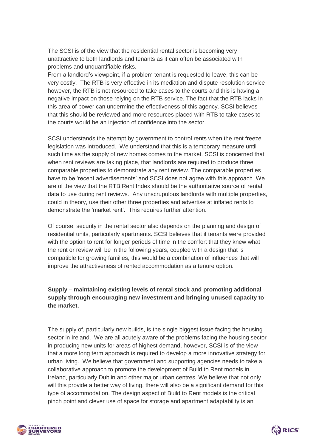The SCSI is of the view that the residential rental sector is becoming very unattractive to both landlords and tenants as it can often be associated with problems and unquantifiable risks.

From a landlord's viewpoint, if a problem tenant is requested to leave, this can be very costly. The RTB is very effective in its mediation and dispute resolution service however, the RTB is not resourced to take cases to the courts and this is having a negative impact on those relying on the RTB service. The fact that the RTB lacks in this area of power can undermine the effectiveness of this agency. SCSI believes that this should be reviewed and more resources placed with RTB to take cases to the courts would be an injection of confidence into the sector.

SCSI understands the attempt by government to control rents when the rent freeze legislation was introduced. We understand that this is a temporary measure until such time as the supply of new homes comes to the market. SCSI is concerned that when rent reviews are taking place, that landlords are required to produce three comparable properties to demonstrate any rent review. The comparable properties have to be 'recent advertisements' and SCSI does not agree with this approach. We are of the view that the RTB Rent Index should be the authoritative source of rental data to use during rent reviews. Any unscrupulous landlords with multiple properties, could in theory, use their other three properties and advertise at inflated rents to demonstrate the 'market rent'. This requires further attention.

Of course, security in the rental sector also depends on the planning and design of residential units, particularly apartments. SCSI believes that if tenants were provided with the option to rent for longer periods of time in the comfort that they knew what the rent or review will be in the following years, coupled with a design that is compatible for growing families, this would be a combination of influences that will improve the attractiveness of rented accommodation as a tenure option.

# **Supply – maintaining existing levels of rental stock and promoting additional supply through encouraging new investment and bringing unused capacity to the market.**

The supply of, particularly new builds, is the single biggest issue facing the housing sector in Ireland. We are all acutely aware of the problems facing the housing sector in producing new units for areas of highest demand, however, SCSI is of the view that a more long term approach is required to develop a more innovative strategy for urban living. We believe that government and supporting agencies needs to take a collaborative approach to promote the development of Build to Rent models in Ireland, particularly Dublin and other major urban centres. We believe that not only will this provide a better way of living, there will also be a significant demand for this type of accommodation. The design aspect of Build to Rent models is the critical pinch point and clever use of space for storage and apartment adaptability is an



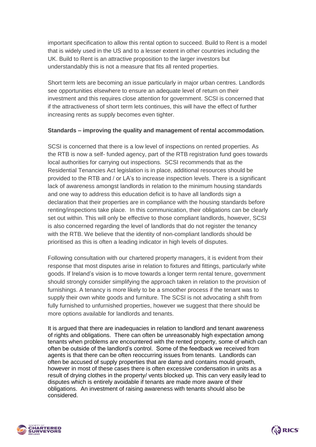important specification to allow this rental option to succeed. Build to Rent is a model that is widely used in the US and to a lesser extent in other countries including the UK. Build to Rent is an attractive proposition to the larger investors but understandably this is not a measure that fits all rented properties.

Short term lets are becoming an issue particularly in major urban centres. Landlords see opportunities elsewhere to ensure an adequate level of return on their investment and this requires close attention for government. SCSI is concerned that if the attractiveness of short term lets continues, this will have the effect of further increasing rents as supply becomes even tighter.

#### **Standards – improving the quality and management of rental accommodation.**

SCSI is concerned that there is a low level of inspections on rented properties. As the RTB is now a self- funded agency, part of the RTB registration fund goes towards local authorities for carrying out inspections. SCSI recommends that as the Residential Tenancies Act legislation is in place, additional resources should be provided to the RTB and / or LA's to increase inspection levels. There is a significant lack of awareness amongst landlords in relation to the minimum housing standards and one way to address this education deficit is to have all landlords sign a declaration that their properties are in compliance with the housing standards before renting/inspections take place. In this communication, their obligations can be clearly set out within. This will only be effective to those compliant landlords, however, SCSI is also concerned regarding the level of landlords that do not register the tenancy with the RTB. We believe that the identity of non-compliant landlords should be prioritised as this is often a leading indicator in high levels of disputes.

Following consultation with our chartered property managers, it is evident from their response that most disputes arise in relation to fixtures and fittings, particularly white goods. If Ireland's vision is to move towards a longer term rental tenure, government should strongly consider simplifying the approach taken in relation to the provision of furnishings. A tenancy is more likely to be a smoother process if the tenant was to supply their own white goods and furniture. The SCSI is not advocating a shift from fully furnished to unfurnished properties, however we suggest that there should be more options available for landlords and tenants.

It is argued that there are inadequacies in relation to landlord and tenant awareness of rights and obligations. There can often be unreasonably high expectation among tenants when problems are encountered with the rented property, some of which can often be outside of the landlord's control. Some of the feedback we received from agents is that there can be often reoccurring issues from tenants. Landlords can often be accused of supply properties that are damp and contains mould growth, however in most of these cases there is often excessive condensation in units as a result of drying clothes in the property/ vents blocked up. This can very easily lead to disputes which is entirely avoidable if tenants are made more aware of their obligations. An investment of raising awareness with tenants should also be considered.



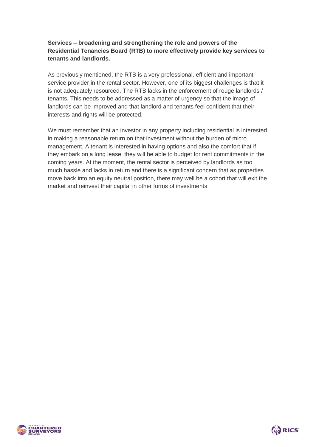# **Services – broadening and strengthening the role and powers of the Residential Tenancies Board (RTB) to more effectively provide key services to tenants and landlords.**

As previously mentioned, the RTB is a very professional, efficient and important service provider in the rental sector. However, one of its biggest challenges is that it is not adequately resourced. The RTB lacks in the enforcement of rouge landlords / tenants. This needs to be addressed as a matter of urgency so that the image of landlords can be improved and that landlord and tenants feel confident that their interests and rights will be protected.

We must remember that an investor in any property including residential is interested in making a reasonable return on that investment without the burden of micro management. A tenant is interested in having options and also the comfort that if they embark on a long lease, they will be able to budget for rent commitments in the coming years. At the moment, the rental sector is perceived by landlords as too much hassle and lacks in return and there is a significant concern that as properties move back into an equity neutral position, there may well be a cohort that will exit the market and reinvest their capital in other forms of investments.



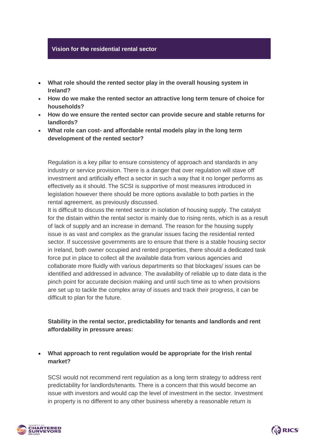#### **Vision for the residential rental sector**:

- **What role should the rented sector play in the overall housing system in Ireland?**
- **How do we make the rented sector an attractive long term tenure of choice for households?**
- **How do we ensure the rented sector can provide secure and stable returns for landlords?**
- **What role can cost- and affordable rental models play in the long term development of the rented sector?**

Regulation is a key pillar to ensure consistency of approach and standards in any industry or service provision. There is a danger that over regulation will stave off investment and artificially effect a sector in such a way that it no longer performs as effectively as it should. The SCSI is supportive of most measures introduced in legislation however there should be more options available to both parties in the rental agreement, as previously discussed.

It is difficult to discuss the rented sector in isolation of housing supply. The catalyst for the distain within the rental sector is mainly due to rising rents, which is as a result of lack of supply and an increase in demand. The reason for the housing supply issue is as vast and complex as the granular issues facing the residential rented sector. If successive governments are to ensure that there is a stable housing sector in Ireland, both owner occupied and rented properties, there should a dedicated task force put in place to collect all the available data from various agencies and collaborate more fluidly with various departments so that blockages/ issues can be identified and addressed in advance. The availability of reliable up to date data is the pinch point for accurate decision making and until such time as to when provisions are set up to tackle the complex array of issues and track their progress, it can be difficult to plan for the future.

# **Stability in the rental sector, predictability for tenants and landlords and rent affordability in pressure areas:**

#### **What approach to rent regulation would be appropriate for the Irish rental market?**

SCSI would not recommend rent regulation as a long term strategy to address rent predictability for landlords/tenants. There is a concern that this would become an issue with investors and would cap the level of investment in the sector. Investment in property is no different to any other business whereby a reasonable return is



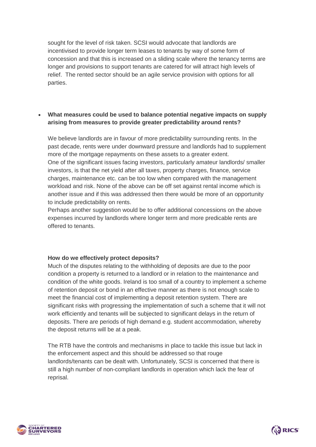sought for the level of risk taken. SCSI would advocate that landlords are incentivised to provide longer term leases to tenants by way of some form of concession and that this is increased on a sliding scale where the tenancy terms are longer and provisions to support tenants are catered for will attract high levels of relief. The rented sector should be an agile service provision with options for all parties.

# **What measures could be used to balance potential negative impacts on supply arising from measures to provide greater predictability around rents?**

We believe landlords are in favour of more predictability surrounding rents. In the past decade, rents were under downward pressure and landlords had to supplement more of the mortgage repayments on these assets to a greater extent. One of the significant issues facing investors, particularly amateur landlords/ smaller investors, is that the net yield after all taxes, property charges, finance, service charges, maintenance etc. can be too low when compared with the management workload and risk. None of the above can be off set against rental income which is another issue and if this was addressed then there would be more of an opportunity to include predictability on rents.

Perhaps another suggestion would be to offer additional concessions on the above expenses incurred by landlords where longer term and more predicable rents are offered to tenants.

#### **How do we effectively protect deposits?**

Much of the disputes relating to the withholding of deposits are due to the poor condition a property is returned to a landlord or in relation to the maintenance and condition of the white goods. Ireland is too small of a country to implement a scheme of retention deposit or bond in an effective manner as there is not enough scale to meet the financial cost of implementing a deposit retention system. There are significant risks with progressing the implementation of such a scheme that it will not work efficiently and tenants will be subjected to significant delays in the return of deposits. There are periods of high demand e.g. student accommodation, whereby the deposit returns will be at a peak.

The RTB have the controls and mechanisms in place to tackle this issue but lack in the enforcement aspect and this should be addressed so that rouge landlords/tenants can be dealt with. Unfortunately, SCSI is concerned that there is still a high number of non-compliant landlords in operation which lack the fear of reprisal.